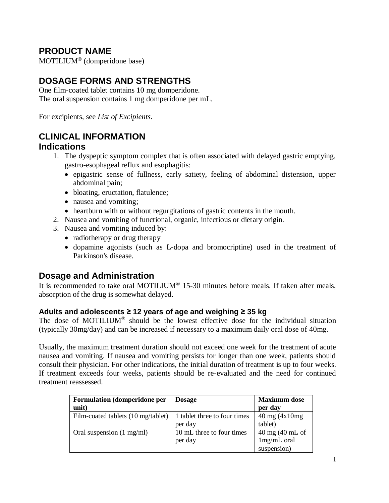# **PRODUCT NAME**

 $MOTILIUM<sup>®</sup>$  (domperidone base)

# **DOSAGE FORMS AND STRENGTHS**

One film-coated tablet contains 10 mg domperidone. The oral suspension contains 1 mg domperidone per mL.

For excipients, see *List of Excipients*.

# **CLINICAL INFORMATION**

# **Indications**

- 1. The dyspeptic symptom complex that is often associated with delayed gastric emptying, gastro-esophageal reflux and esophagitis:
	- epigastric sense of fullness, early satiety, feeling of abdominal distension, upper abdominal pain;
	- bloating, eructation, flatulence;
	- nausea and vomiting;
	- heartburn with or without regurgitations of gastric contents in the mouth.
- 2. Nausea and vomiting of functional, organic, infectious or dietary origin.
- 3. Nausea and vomiting induced by:
	- radiotherapy or drug therapy
	- dopamine agonists (such as L-dopa and bromocriptine) used in the treatment of Parkinson's disease.

# **Dosage and Administration**

It is recommended to take oral MOTILIUM<sup>®</sup> 15-30 minutes before meals. If taken after meals, absorption of the drug is somewhat delayed.

### **Adults and adolescents ≥ 12 years of age and weighing ≥ 35 kg**

The dose of MOTILIUM<sup>®</sup> should be the lowest effective dose for the individual situation (typically 30mg/day) and can be increased if necessary to a maximum daily oral dose of 40mg.

Usually, the maximum treatment duration should not exceed one week for the treatment of acute nausea and vomiting. If nausea and vomiting persists for longer than one week, patients should consult their physician. For other indications, the initial duration of treatment is up to four weeks. If treatment exceeds four weeks, patients should be re-evaluated and the need for continued treatment reassessed.

| <b>Formulation (domperidone per</b><br>unit) | <b>Dosage</b>                           | <b>Maximum</b> dose<br>per day                          |
|----------------------------------------------|-----------------------------------------|---------------------------------------------------------|
| Film-coated tablets (10 mg/tablet)           | 1 tablet three to four times<br>per day | $40 \text{ mg} (4 \text{x} 10 \text{mg})$<br>tablet)    |
| Oral suspension (1 mg/ml)                    | 10 mL three to four times<br>per day    | $40 \text{ mg}$ (40 mL of<br>1mg/mL oral<br>suspension) |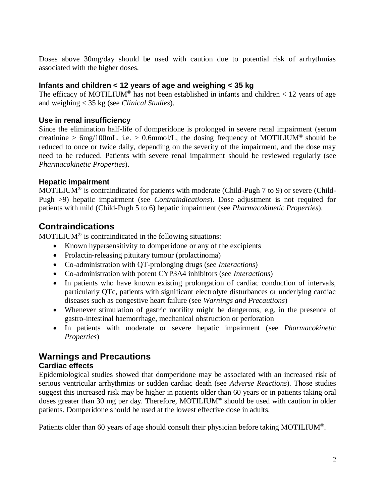Doses above 30mg/day should be used with caution due to potential risk of arrhythmias associated with the higher doses.

### **Infants and children < 12 years of age and weighing < 35 kg**

The efficacy of MOTILIUM<sup>®</sup> has not been established in infants and children < 12 years of age and weighing < 35 kg (see *Clinical Studies*).

# **Use in renal insufficiency**

Since the elimination half-life of domperidone is prolonged in severe renal impairment (serum creatinine > 6mg/100mL, i.e. > 0.6mmol/L, the dosing frequency of MOTILIUM<sup>®</sup> should be reduced to once or twice daily, depending on the severity of the impairment, and the dose may need to be reduced. Patients with severe renal impairment should be reviewed regularly (see *Pharmacokinetic Properties*).

# **Hepatic impairment**

MOTILIUM<sup>®</sup> is contraindicated for patients with moderate (Child-Pugh 7 to 9) or severe (Child-Pugh >9) hepatic impairment (see *Contraindications*). Dose adjustment is not required for patients with mild (Child-Pugh 5 to 6) hepatic impairment (see *Pharmacokinetic Properties*).

# **Contraindications**

 $MOTILIUM<sup>®</sup>$  is contraindicated in the following situations:

- Known hypersensitivity to domperidone or any of the excipients
- Prolactin-releasing pituitary tumour (prolactinoma)
- Co-administration with QT-prolonging drugs (see *Interactions*)
- Co-administration with potent CYP3A4 inhibitors (see *Interactions*)
- In patients who have known existing prolongation of cardiac conduction of intervals, particularly QTc, patients with significant electrolyte disturbances or underlying cardiac diseases such as congestive heart failure (see *Warnings and Precautions*)
- Whenever stimulation of gastric motility might be dangerous, e.g. in the presence of gastro-intestinal haemorrhage, mechanical obstruction or perforation
- In patients with moderate or severe hepatic impairment (see *Pharmacokinetic Properties*)

# **Warnings and Precautions**

### **Cardiac effects**

Epidemiological studies showed that domperidone may be associated with an increased risk of serious ventricular arrhythmias or sudden cardiac death (see *Adverse Reactions*). Those studies suggest this increased risk may be higher in patients older than 60 years or in patients taking oral doses greater than 30 mg per day. Therefore, MOTILIUM® should be used with caution in older patients. Domperidone should be used at the lowest effective dose in adults.

Patients older than 60 years of age should consult their physician before taking MOTILIUM®.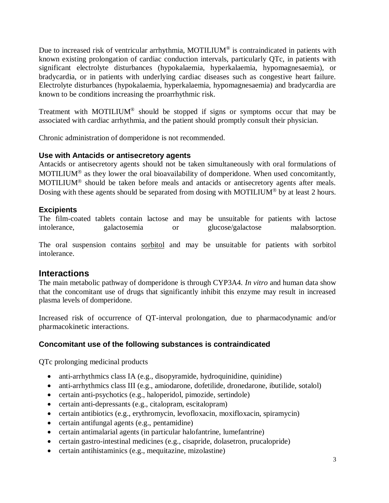Due to increased risk of ventricular arrhythmia, MOTILIUM® is contraindicated in patients with known existing prolongation of cardiac conduction intervals, particularly QTc, in patients with significant electrolyte disturbances (hypokalaemia, hyperkalaemia, hypomagnesaemia), or bradycardia, or in patients with underlying cardiac diseases such as congestive heart failure. Electrolyte disturbances (hypokalaemia, hyperkalaemia, hypomagnesaemia) and bradycardia are known to be conditions increasing the proarrhythmic risk.

Treatment with MOTILIUM<sup>®</sup> should be stopped if signs or symptoms occur that may be associated with cardiac arrhythmia, and the patient should promptly consult their physician.

Chronic administration of domperidone is not recommended.

#### **Use with Antacids or antisecretory agents**

Antacids or antisecretory agents should not be taken simultaneously with oral formulations of MOTILIUM<sup>®</sup> as they lower the oral bioavailability of domperidone. When used concomitantly, MOTILIUM<sup>®</sup> should be taken before meals and antacids or antisecretory agents after meals. Dosing with these agents should be separated from dosing with MOTILIUM<sup>®</sup> by at least 2 hours.

#### **Excipients**

The film-coated tablets contain lactose and may be unsuitable for patients with lactose intolerance, galactosemia or glucose/galactose malabsorption.

The oral suspension contains sorbitol and may be unsuitable for patients with sorbitol intolerance.

### **Interactions**

The main metabolic pathway of domperidone is through CYP3A4. *In vitro* and human data show that the concomitant use of drugs that significantly inhibit this enzyme may result in increased plasma levels of domperidone.

Increased risk of occurrence of QT-interval prolongation, due to pharmacodynamic and/or pharmacokinetic interactions.

### **Concomitant use of the following substances is contraindicated**

QTc prolonging medicinal products

- anti-arrhythmics class IA (e.g., disopyramide, hydroquinidine, quinidine)
- anti-arrhythmics class III (e.g., amiodarone, dofetilide, dronedarone, ibutilide, sotalol)
- certain anti-psychotics (e.g., haloperidol, pimozide, sertindole)
- certain anti-depressants (e.g., citalopram, escitalopram)
- certain antibiotics (e.g., erythromycin, levofloxacin, moxifloxacin, spiramycin)
- certain antifungal agents (e.g., pentamidine)
- certain antimalarial agents (in particular halofantrine, lumefantrine)
- certain gastro-intestinal medicines (e.g., cisapride, dolasetron, prucalopride)
- certain antihistaminics (e.g., mequitazine, mizolastine)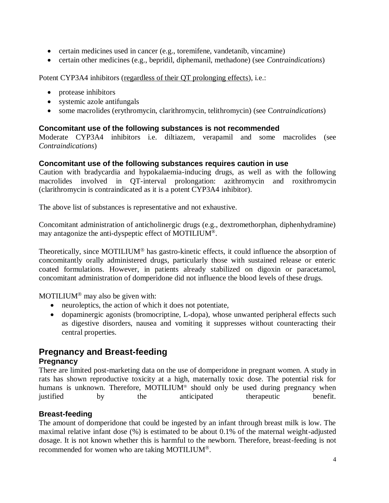- certain medicines used in cancer (e.g., toremifene, vandetanib, vincamine)
- certain other medicines (e.g., bepridil, diphemanil, methadone) (see *Contraindications*)

Potent CYP3A4 inhibitors (regardless of their QT prolonging effects), i.e.:

- protease inhibitors
- systemic azole antifungals
- some macrolides (erythromycin, clarithromycin, telithromycin) (see C*ontraindications*)

#### **Concomitant use of the following substances is not recommended**

Moderate CYP3A4 inhibitors i.e. diltiazem, verapamil and some macrolides (see *Contraindications*)

#### **Concomitant use of the following substances requires caution in use**

Caution with bradycardia and hypokalaemia-inducing drugs, as well as with the following macrolides involved in QT-interval prolongation: azithromycin and roxithromycin (clarithromycin is contraindicated as it is a potent CYP3A4 inhibitor).

The above list of substances is representative and not exhaustive.

Concomitant administration of anticholinergic drugs (e.g., dextromethorphan, diphenhydramine) may antagonize the anti-dyspeptic effect of MOTILIUM® .

Theoretically, since MOTILIUM<sup>®</sup> has gastro-kinetic effects, it could influence the absorption of concomitantly orally administered drugs, particularly those with sustained release or enteric coated formulations. However, in patients already stabilized on digoxin or paracetamol, concomitant administration of domperidone did not influence the blood levels of these drugs.

MOTILIUM<sup>®</sup> may also be given with:

- neuroleptics, the action of which it does not potentiate,
- dopaminergic agonists (bromocriptine, L-dopa), whose unwanted peripheral effects such as digestive disorders, nausea and vomiting it suppresses without counteracting their central properties.

# **Pregnancy and Breast-feeding Pregnancy**

There are limited post-marketing data on the use of domperidone in pregnant women. A study in rats has shown reproductive toxicity at a high, maternally toxic dose. The potential risk for humans is unknown. Therefore, MOTILIUM<sup>®</sup> should only be used during pregnancy when justified by the anticipated therapeutic benefit.

#### **Breast-feeding**

The amount of domperidone that could be ingested by an infant through breast milk is low. The maximal relative infant dose (%) is estimated to be about 0.1% of the maternal weight-adjusted dosage. It is not known whether this is harmful to the newborn. Therefore, breast-feeding is not recommended for women who are taking MOTILIUM<sup>®</sup>.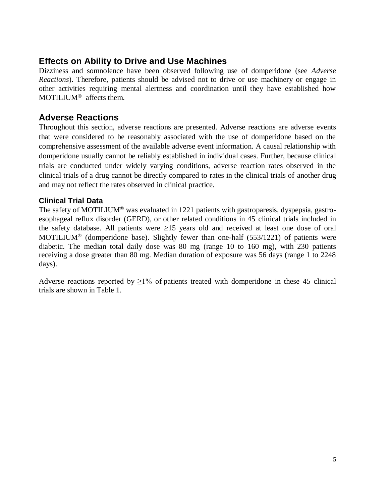# **Effects on Ability to Drive and Use Machines**

Dizziness and somnolence have been observed following use of domperidone (see *Adverse Reactions*). Therefore, patients should be advised not to drive or use machinery or engage in other activities requiring mental alertness and coordination until they have established how MOTILIUM<sup>®</sup> affects them.

# **Adverse Reactions**

Throughout this section, adverse reactions are presented. Adverse reactions are adverse events that were considered to be reasonably associated with the use of domperidone based on the comprehensive assessment of the available adverse event information. A causal relationship with domperidone usually cannot be reliably established in individual cases. Further, because clinical trials are conducted under widely varying conditions, adverse reaction rates observed in the clinical trials of a drug cannot be directly compared to rates in the clinical trials of another drug and may not reflect the rates observed in clinical practice.

### **Clinical Trial Data**

The safety of MOTILIUM<sup>®</sup> was evaluated in 1221 patients with gastroparesis, dyspepsia, gastroesophageal reflux disorder (GERD), or other related conditions in 45 clinical trials included in the safety database. All patients were  $\geq 15$  years old and received at least one dose of oral MOTILIUM<sup>®</sup> (domperidone base). Slightly fewer than one-half  $(553/1221)$  of patients were diabetic. The median total daily dose was 80 mg (range 10 to 160 mg), with 230 patients receiving a dose greater than 80 mg. Median duration of exposure was 56 days (range 1 to 2248 days).

Adverse reactions reported by  $\geq$ 1% of patients treated with domperidone in these 45 clinical trials are shown in Table 1.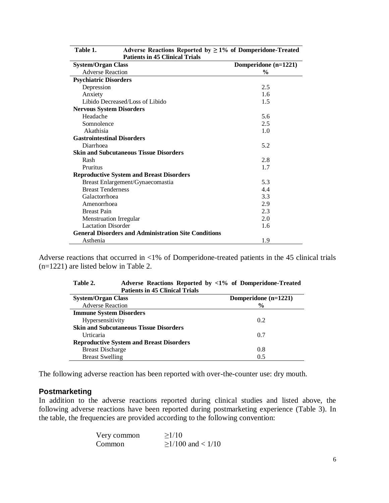| <b>Patients in 45 Clinical Trials</b>                       |                      |  |
|-------------------------------------------------------------|----------------------|--|
| <b>System/Organ Class</b>                                   | Domperidone (n=1221) |  |
| <b>Adverse Reaction</b>                                     | $\frac{0}{0}$        |  |
| <b>Psychiatric Disorders</b>                                |                      |  |
| Depression                                                  | 2.5                  |  |
| Anxiety                                                     | 1.6                  |  |
| Libido Decreased/Loss of Libido                             | 1.5                  |  |
| <b>Nervous System Disorders</b>                             |                      |  |
| Headache                                                    | 5.6                  |  |
| Somnolence                                                  | 2.5                  |  |
| Akathisia                                                   | 1.0                  |  |
| <b>Gastrointestinal Disorders</b>                           |                      |  |
| Diarrhoea                                                   | 5.2                  |  |
| <b>Skin and Subcutaneous Tissue Disorders</b>               |                      |  |
| Rash                                                        | 2.8                  |  |
| Pruritus                                                    | 1.7                  |  |
| <b>Reproductive System and Breast Disorders</b>             |                      |  |
| Breast Enlargement/Gynaecomastia                            | 5.3                  |  |
| <b>Breast Tenderness</b>                                    | 4.4                  |  |
| Galactorrhoea                                               | 3.3                  |  |
| Amenorrhoea                                                 | 2.9                  |  |
| <b>Breast Pain</b>                                          | 2.3                  |  |
| <b>Menstruation Irregular</b>                               | 2.0                  |  |
| <b>Lactation Disorder</b>                                   | 1.6                  |  |
| <b>General Disorders and Administration Site Conditions</b> |                      |  |
| Asthenia                                                    | 1.9                  |  |

**Table 1. Adverse Reactions Reported by ≥ 1% of Domperidone-Treated Patients in 45 Clinical Trials** 

Adverse reactions that occurred in <1% of Domperidone-treated patients in the 45 clinical trials (n=1221) are listed below in Table 2.

| Tabic 4.<br>Auverse Reactions Reported by $\leq 1/0$ or Dompertuble-Treated<br><b>Patients in 45 Clinical Trials</b> |                        |  |
|----------------------------------------------------------------------------------------------------------------------|------------------------|--|
| <b>System/Organ Class</b>                                                                                            | Domperidone $(n=1221)$ |  |
| <b>Adverse Reaction</b>                                                                                              | $\frac{6}{9}$          |  |
| <b>Immune System Disorders</b>                                                                                       |                        |  |
| Hypersensitivity                                                                                                     | 0.2                    |  |
| <b>Skin and Subcutaneous Tissue Disorders</b>                                                                        |                        |  |
| Urticaria                                                                                                            | 0.7                    |  |
| <b>Reproductive System and Breast Disorders</b>                                                                      |                        |  |
| <b>Breast Discharge</b>                                                                                              | 0.8                    |  |
| <b>Breast Swelling</b>                                                                                               | 0.5                    |  |

**Table 2. Adverse Reactions Reported by <1% of Domperidone-Treated** 

The following adverse reaction has been reported with over-the-counter use: dry mouth.

#### **Postmarketing**

In addition to the adverse reactions reported during clinical studies and listed above, the following adverse reactions have been reported during postmarketing experience (Table 3). In the table, the frequencies are provided according to the following convention:

| Very common | >1/10               |
|-------------|---------------------|
| Common      | $>1/100$ and < 1/10 |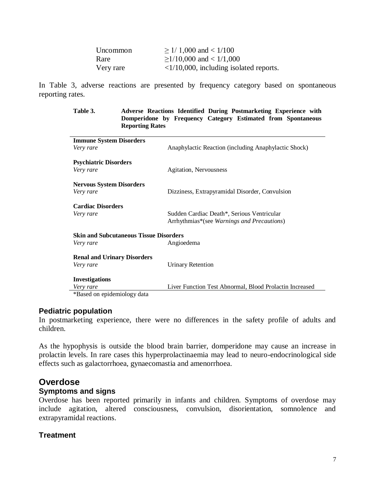| Uncommon  | $\geq$ 1/ 1,000 and < 1/100                     |
|-----------|-------------------------------------------------|
| Rare      | $\geq$ 1/10,000 and < 1/1,000                   |
| Very rare | $\langle 1/10,000,$ including isolated reports. |

In Table 3, adverse reactions are presented by frequency category based on spontaneous reporting rates.

> **Table 3. Adverse Reactions Identified During Postmarketing Experience with Domperidone by Frequency Category Estimated from Spontaneous Reporting Rates**

| Anaphylactic Reaction (including Anaphylactic Shock)    |  |
|---------------------------------------------------------|--|
|                                                         |  |
| Agitation, Nervousness                                  |  |
|                                                         |  |
| Dizziness, Extrapyramidal Disorder, Convulsion          |  |
|                                                         |  |
| Sudden Cardiac Death*, Serious Ventricular              |  |
| Arrhythmias*(see Warnings and Precautions)              |  |
| <b>Skin and Subcutaneous Tissue Disorders</b>           |  |
| Angioedema                                              |  |
|                                                         |  |
| <b>Urinary Retention</b>                                |  |
|                                                         |  |
| Liver Function Test Abnormal, Blood Prolactin Increased |  |
|                                                         |  |
|                                                         |  |

#### **Pediatric population**

In postmarketing experience, there were no differences in the safety profile of adults and children.

As the hypophysis is outside the blood brain barrier, domperidone may cause an increase in prolactin levels. In rare cases this hyperprolactinaemia may lead to neuro-endocrinological side effects such as galactorrhoea, gynaecomastia and amenorrhoea.

# **Overdose**

#### **Symptoms and signs**

Overdose has been reported primarily in infants and children. Symptoms of overdose may include agitation, altered consciousness, convulsion, disorientation, somnolence and extrapyramidal reactions.

#### **Treatment**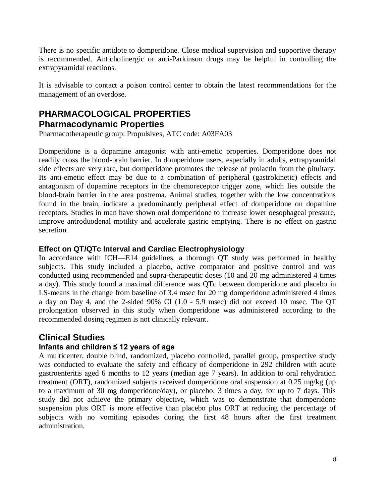There is no specific antidote to domperidone. Close medical supervision and supportive therapy is recommended. Anticholinergic or anti-Parkinson drugs may be helpful in controlling the extrapyramidal reactions.

It is advisable to contact a poison control center to obtain the latest recommendations for the management of an overdose.

# **PHARMACOLOGICAL PROPERTIES Pharmacodynamic Properties**

Pharmacotherapeutic group: Propulsives, ATC code: A03FA03

Domperidone is a dopamine antagonist with anti-emetic properties. Domperidone does not readily cross the blood-brain barrier. In domperidone users, especially in adults, extrapyramidal side effects are very rare, but domperidone promotes the release of prolactin from the pituitary. Its anti-emetic effect may be due to a combination of peripheral (gastrokinetic) effects and antagonism of dopamine receptors in the chemoreceptor trigger zone, which lies outside the blood-brain barrier in the area postrema. Animal studies, together with the low concentrations found in the brain, indicate a predominantly peripheral effect of domperidone on dopamine receptors. Studies in man have shown oral domperidone to increase lower oesophageal pressure, improve antroduodenal motility and accelerate gastric emptying. There is no effect on gastric secretion.

#### **Effect on QT/QTc Interval and Cardiac Electrophysiology**

In accordance with ICH—E14 guidelines, a thorough QT study was performed in healthy subjects. This study included a placebo, active comparator and positive control and was conducted using recommended and supra-therapeutic doses (10 and 20 mg administered 4 times a day). This study found a maximal difference was QTc between domperidone and placebo in LS-means in the change from baseline of 3.4 msec for 20 mg domperidone administered 4 times a day on Day 4, and the 2-sided 90% CI (1.0 - 5.9 msec) did not exceed 10 msec. The QT prolongation observed in this study when domperidone was administered according to the recommended dosing regimen is not clinically relevant.

# **Clinical Studies**

#### **Infants and children ≤ 12 years of age**

A multicenter, double blind, randomized, placebo controlled, parallel group, prospective study was conducted to evaluate the safety and efficacy of domperidone in 292 children with acute gastroenteritis aged 6 months to 12 years (median age 7 years). In addition to oral rehydration treatment (ORT), randomized subjects received domperidone oral suspension at 0.25 mg/kg (up to a maximum of 30 mg domperidone/day), or placebo, 3 times a day, for up to 7 days. This study did not achieve the primary objective, which was to demonstrate that domperidone suspension plus ORT is more effective than placebo plus ORT at reducing the percentage of subjects with no vomiting episodes during the first 48 hours after the first treatment administration.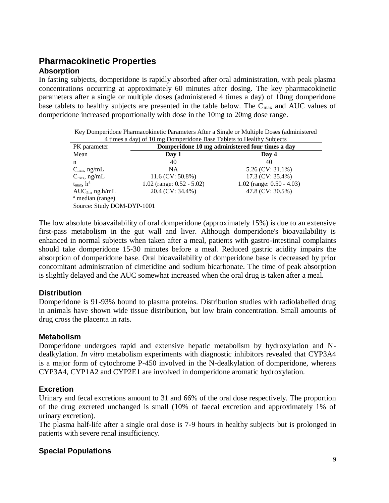# **Pharmacokinetic Properties Absorption**

In fasting subjects, domperidone is rapidly absorbed after oral administration, with peak plasma concentrations occurring at approximately 60 minutes after dosing. The key pharmacokinetic parameters after a single or multiple doses (administered 4 times a day) of 10mg domperidone base tablets to healthy subjects are presented in the table below. The  $C_{\text{max}}$  and AUC values of domperidone increased proportionally with dose in the 10mg to 20mg dose range.

| Key Domperidone Pharmacokinetic Parameters After a Single or Multiple Doses (administered |                                                 |                              |  |
|-------------------------------------------------------------------------------------------|-------------------------------------------------|------------------------------|--|
| 4 times a day) of 10 mg Domperidone Base Tablets to Healthy Subjects                      |                                                 |                              |  |
| PK parameter                                                                              | Domperidone 10 mg administered four times a day |                              |  |
| Mean                                                                                      | Day 1                                           | Day 4                        |  |
| n                                                                                         | 40                                              | 40                           |  |
| $C_{\text{min}}$ , ng/mL                                                                  | <b>NA</b>                                       | 5.26 (CV: 31.1%)             |  |
| $C_{\text{max}}$ , ng/mL                                                                  | $11.6$ (CV: 50.8%)                              | 17.3 (CV: 35.4%)             |  |
| $t_{\rm max}$ , $h^a$                                                                     | $1.02$ (range: $0.52 - 5.02$ )                  | 1.02 (range: $0.50 - 4.03$ ) |  |
| $AUC_{5h}$ , ng.h/mL                                                                      | 20.4 (CV: 34.4%)                                | 47.8 (CV: 30.5%)             |  |
| <sup>a</sup> median (range)                                                               |                                                 |                              |  |
| Source: Study DOM-DYP-1001                                                                |                                                 |                              |  |

The low absolute bioavailability of oral domperidone (approximately 15%) is due to an extensive first-pass metabolism in the gut wall and liver. Although domperidone's bioavailability is enhanced in normal subjects when taken after a meal, patients with gastro-intestinal complaints should take domperidone 15-30 minutes before a meal. Reduced gastric acidity impairs the absorption of domperidone base. Oral bioavailability of domperidone base is decreased by prior concomitant administration of cimetidine and sodium bicarbonate. The time of peak absorption is slightly delayed and the AUC somewhat increased when the oral drug is taken after a meal.

#### **Distribution**

Domperidone is 91-93% bound to plasma proteins. Distribution studies with radiolabelled drug in animals have shown wide tissue distribution, but low brain concentration. Small amounts of drug cross the placenta in rats.

#### **Metabolism**

Domperidone undergoes rapid and extensive hepatic metabolism by hydroxylation and Ndealkylation. *In vitro* metabolism experiments with diagnostic inhibitors revealed that CYP3A4 is a major form of cytochrome P-450 involved in the N-dealkylation of domperidone, whereas CYP3A4, CYP1A2 and CYP2E1 are involved in domperidone aromatic hydroxylation.

#### **Excretion**

Urinary and fecal excretions amount to 31 and 66% of the oral dose respectively. The proportion of the drug excreted unchanged is small (10% of faecal excretion and approximately 1% of urinary excretion).

The plasma half-life after a single oral dose is 7-9 hours in healthy subjects but is prolonged in patients with severe renal insufficiency.

### **Special Populations**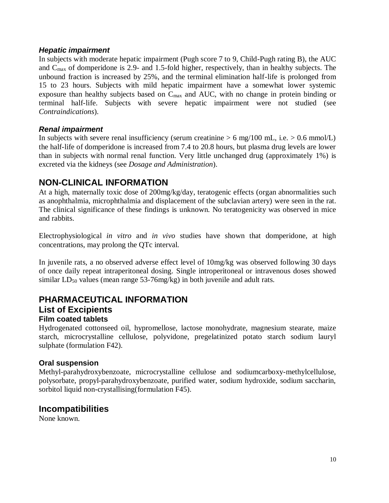#### *Hepatic impairment*

In subjects with moderate hepatic impairment (Pugh score 7 to 9, Child-Pugh rating B), the AUC and  $C_{\text{max}}$  of domperidone is 2.9- and 1.5-fold higher, respectively, than in healthy subjects. The unbound fraction is increased by 25%, and the terminal elimination half-life is prolonged from 15 to 23 hours. Subjects with mild hepatic impairment have a somewhat lower systemic exposure than healthy subjects based on Cmax and AUC, with no change in protein binding or terminal half-life. Subjects with severe hepatic impairment were not studied (see *Contraindications*).

#### *Renal impairment*

In subjects with severe renal insufficiency (serum creatinine  $> 6$  mg/100 mL, i.e.  $> 0.6$  mmol/L) the half-life of domperidone is increased from 7.4 to 20.8 hours, but plasma drug levels are lower than in subjects with normal renal function. Very little unchanged drug (approximately 1%) is excreted via the kidneys (see *Dosage and Administration*).

# **NON-CLINICAL INFORMATION**

At a high, maternally toxic dose of 200mg/kg/day, teratogenic effects (organ abnormalities such as anophthalmia, microphthalmia and displacement of the subclavian artery) were seen in the rat. The clinical significance of these findings is unknown. No teratogenicity was observed in mice and rabbits.

Electrophysiological *in vitro* and *in vivo* studies have shown that domperidone, at high concentrations, may prolong the QTc interval.

In juvenile rats, a no observed adverse effect level of 10mg/kg was observed following 30 days of once daily repeat intraperitoneal dosing. Single introperitoneal or intravenous doses showed similar  $LD_{50}$  values (mean range 53-76mg/kg) in both juvenile and adult rats.

# **PHARMACEUTICAL INFORMATION**

# **List of Excipients**

#### **Film coated tablets**

Hydrogenated cottonseed oil, hypromellose, lactose monohydrate, magnesium stearate, maize starch, microcrystalline cellulose, polyvidone, pregelatinized potato starch sodium lauryl sulphate (formulation F42).

#### **Oral suspension**

Methyl-parahydroxybenzoate, microcrystalline cellulose and sodiumcarboxy-methylcellulose, polysorbate, propyl-parahydroxybenzoate, purified water, sodium hydroxide, sodium saccharin, sorbitol liquid non-crystallising(formulation F45).

# **Incompatibilities**

None known.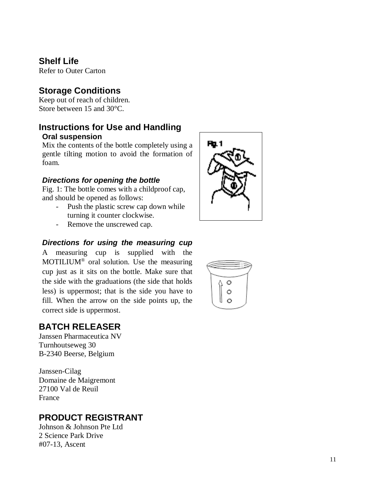# **Shelf Life**

Refer to Outer Carton

# **Storage Conditions**

Keep out of reach of children. Store between 15 and 30°C.

# **Instructions for Use and Handling Oral suspension**

Mix the contents of the bottle completely using a gentle tilting motion to avoid the formation of foam .

#### *Directions for opening the bottle*

Fig. 1: The bottle comes with a childproof cap, and should be opened as follows:

- Push the plastic screw cap down while turning it counter clockwise.
- Remove the unscrewed cap.

#### *Directions for using the measuring cup*

A measuring cup is supplied with the MOTILIUM<sup>®</sup> oral solution. Use the measuring cup just as it sits on the bottle. Make sure that the side with the graduations (the side that holds less) is uppermost; that is the side you have to fill. When the arrow on the side points up, the correct side is uppermost.

# **BATCH RELEASER**

Janssen Pharmaceutica NV Turnhoutseweg 30 B-2340 Beerse, Belgium

Janssen -Cilag Domaine de Maigremont 27100 Val de Reuil France

# **PRODUCT REGISTRANT**

Johnson & Johnson Pte Ltd 2 Science Park Drive #07 -13, Ascent